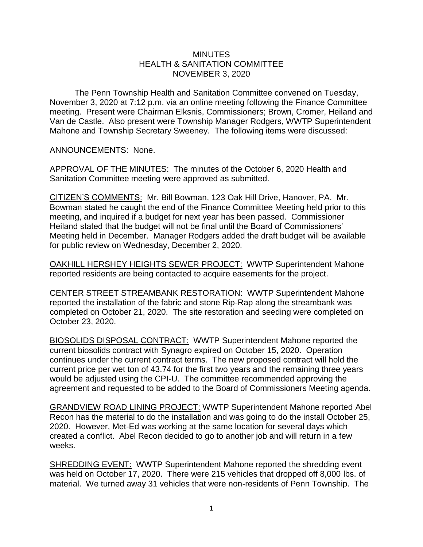## **MINUTES** HEALTH & SANITATION COMMITTEE NOVEMBER 3, 2020

The Penn Township Health and Sanitation Committee convened on Tuesday, November 3, 2020 at 7:12 p.m. via an online meeting following the Finance Committee meeting. Present were Chairman Elksnis, Commissioners; Brown, Cromer, Heiland and Van de Castle. Also present were Township Manager Rodgers, WWTP Superintendent Mahone and Township Secretary Sweeney. The following items were discussed:

## ANNOUNCEMENTS: None.

APPROVAL OF THE MINUTES: The minutes of the October 6, 2020 Health and Sanitation Committee meeting were approved as submitted.

CITIZEN'S COMMENTS: Mr. Bill Bowman, 123 Oak Hill Drive, Hanover, PA. Mr. Bowman stated he caught the end of the Finance Committee Meeting held prior to this meeting, and inquired if a budget for next year has been passed. Commissioner Heiland stated that the budget will not be final until the Board of Commissioners' Meeting held in December. Manager Rodgers added the draft budget will be available for public review on Wednesday, December 2, 2020.

OAKHILL HERSHEY HEIGHTS SEWER PROJECT: WWTP Superintendent Mahone reported residents are being contacted to acquire easements for the project.

CENTER STREET STREAMBANK RESTORATION: WWTP Superintendent Mahone reported the installation of the fabric and stone Rip-Rap along the streambank was completed on October 21, 2020. The site restoration and seeding were completed on October 23, 2020.

BIOSOLIDS DISPOSAL CONTRACT: WWTP Superintendent Mahone reported the current biosolids contract with Synagro expired on October 15, 2020. Operation continues under the current contract terms. The new proposed contract will hold the current price per wet ton of 43.74 for the first two years and the remaining three years would be adjusted using the CPI-U. The committee recommended approving the agreement and requested to be added to the Board of Commissioners Meeting agenda.

GRANDVIEW ROAD LINING PROJECT: WWTP Superintendent Mahone reported Abel Recon has the material to do the installation and was going to do the install October 25, 2020. However, Met-Ed was working at the same location for several days which created a conflict. Abel Recon decided to go to another job and will return in a few weeks.

SHREDDING EVENT: WWTP Superintendent Mahone reported the shredding event was held on October 17, 2020. There were 215 vehicles that dropped off 8,000 lbs. of material. We turned away 31 vehicles that were non-residents of Penn Township. The